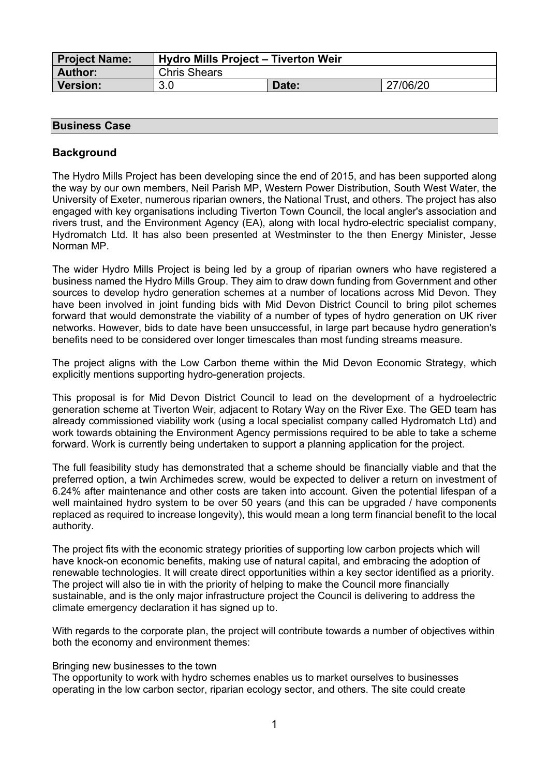| Project Name: | <b>Hydro Mills Project - Tiverton Weir</b> |       |          |
|---------------|--------------------------------------------|-------|----------|
| Author:       | <b>Chris Shears</b>                        |       |          |
| Version:      | 3.0                                        | Date: | 27/06/20 |

# **Business Case**

# **Background**

The Hydro Mills Project has been developing since the end of 2015, and has been supported along the way by our own members, Neil Parish MP, Western Power Distribution, South West Water, the University of Exeter, numerous riparian owners, the National Trust, and others. The project has also engaged with key organisations including Tiverton Town Council, the local angler's association and rivers trust, and the Environment Agency (EA), along with local hydro-electric specialist company, Hydromatch Ltd. It has also been presented at Westminster to the then Energy Minister, Jesse Norman MP.

The wider Hydro Mills Project is being led by a group of riparian owners who have registered a business named the Hydro Mills Group. They aim to draw down funding from Government and other sources to develop hydro generation schemes at a number of locations across Mid Devon. They have been involved in joint funding bids with Mid Devon District Council to bring pilot schemes forward that would demonstrate the viability of a number of types of hydro generation on UK river networks. However, bids to date have been unsuccessful, in large part because hydro generation's benefits need to be considered over longer timescales than most funding streams measure.

The project aligns with the Low Carbon theme within the Mid Devon Economic Strategy, which explicitly mentions supporting hydro-generation projects.

This proposal is for Mid Devon District Council to lead on the development of a hydroelectric generation scheme at Tiverton Weir, adjacent to Rotary Way on the River Exe. The GED team has already commissioned viability work (using a local specialist company called Hydromatch Ltd) and work towards obtaining the Environment Agency permissions required to be able to take a scheme forward. Work is currently being undertaken to support a planning application for the project.

The full feasibility study has demonstrated that a scheme should be financially viable and that the preferred option, a twin Archimedes screw, would be expected to deliver a return on investment of 6.24% after maintenance and other costs are taken into account. Given the potential lifespan of a well maintained hydro system to be over 50 years (and this can be upgraded / have components replaced as required to increase longevity), this would mean a long term financial benefit to the local authority.

The project fits with the economic strategy priorities of supporting low carbon projects which will have knock-on economic benefits, making use of natural capital, and embracing the adoption of renewable technologies. It will create direct opportunities within a key sector identified as a priority. The project will also tie in with the priority of helping to make the Council more financially sustainable, and is the only major infrastructure project the Council is delivering to address the climate emergency declaration it has signed up to.

With regards to the corporate plan, the project will contribute towards a number of objectives within both the economy and environment themes:

#### Bringing new businesses to the town

The opportunity to work with hydro schemes enables us to market ourselves to businesses operating in the low carbon sector, riparian ecology sector, and others. The site could create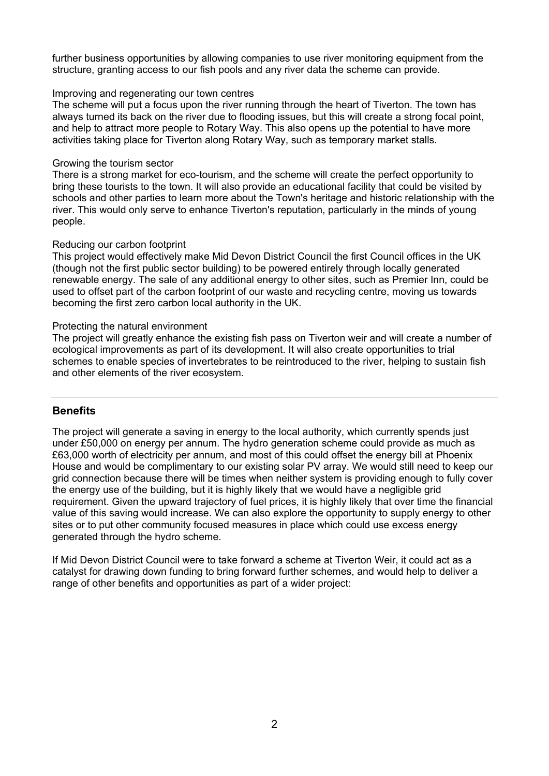further business opportunities by allowing companies to use river monitoring equipment from the structure, granting access to our fish pools and any river data the scheme can provide.

#### Improving and regenerating our town centres

The scheme will put a focus upon the river running through the heart of Tiverton. The town has always turned its back on the river due to flooding issues, but this will create a strong focal point, and help to attract more people to Rotary Way. This also opens up the potential to have more activities taking place for Tiverton along Rotary Way, such as temporary market stalls.

#### Growing the tourism sector

There is a strong market for eco-tourism, and the scheme will create the perfect opportunity to bring these tourists to the town. It will also provide an educational facility that could be visited by schools and other parties to learn more about the Town's heritage and historic relationship with the river. This would only serve to enhance Tiverton's reputation, particularly in the minds of young people.

#### Reducing our carbon footprint

This project would effectively make Mid Devon District Council the first Council offices in the UK (though not the first public sector building) to be powered entirely through locally generated renewable energy. The sale of any additional energy to other sites, such as Premier Inn, could be used to offset part of the carbon footprint of our waste and recycling centre, moving us towards becoming the first zero carbon local authority in the UK.

#### Protecting the natural environment

The project will greatly enhance the existing fish pass on Tiverton weir and will create a number of ecological improvements as part of its development. It will also create opportunities to trial schemes to enable species of invertebrates to be reintroduced to the river, helping to sustain fish and other elements of the river ecosystem.

#### **Benefits**

The project will generate a saving in energy to the local authority, which currently spends just under £50,000 on energy per annum. The hydro generation scheme could provide as much as £63,000 worth of electricity per annum, and most of this could offset the energy bill at Phoenix House and would be complimentary to our existing solar PV array. We would still need to keep our grid connection because there will be times when neither system is providing enough to fully cover the energy use of the building, but it is highly likely that we would have a negligible grid requirement. Given the upward trajectory of fuel prices, it is highly likely that over time the financial value of this saving would increase. We can also explore the opportunity to supply energy to other sites or to put other community focused measures in place which could use excess energy generated through the hydro scheme.

If Mid Devon District Council were to take forward a scheme at Tiverton Weir, it could act as a catalyst for drawing down funding to bring forward further schemes, and would help to deliver a range of other benefits and opportunities as part of a wider project: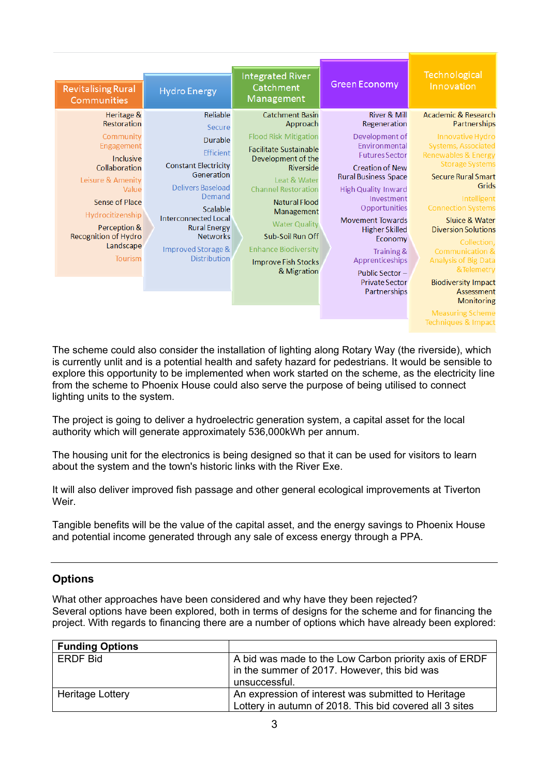| <b>Revitalising Rural</b><br>Communities                                                                                                                                                                                      | <b>Hydro Energy</b>                                                                                                                                                                                                                                             | <b>Integrated River</b><br>Catchment<br>Management                                                                                                                                                                                                                                                                                                 | <b>Green Economy</b>                                                                                                                                                                                                                                                                                                                                                                            | Technological<br>Innovation                                                                                                                                                                                                                                                                                                                                                                                                                    |
|-------------------------------------------------------------------------------------------------------------------------------------------------------------------------------------------------------------------------------|-----------------------------------------------------------------------------------------------------------------------------------------------------------------------------------------------------------------------------------------------------------------|----------------------------------------------------------------------------------------------------------------------------------------------------------------------------------------------------------------------------------------------------------------------------------------------------------------------------------------------------|-------------------------------------------------------------------------------------------------------------------------------------------------------------------------------------------------------------------------------------------------------------------------------------------------------------------------------------------------------------------------------------------------|------------------------------------------------------------------------------------------------------------------------------------------------------------------------------------------------------------------------------------------------------------------------------------------------------------------------------------------------------------------------------------------------------------------------------------------------|
| Heritage &<br>Restoration<br>Community<br>Engagement<br>Inclusive<br>Collaboration<br>Leisure & Amenity<br>Value<br>Sense of Place<br>Hydrocitizenship<br>Perception &<br><b>Recognition of Hydro</b><br>Landscape<br>Tourism | Reliable<br>Secure<br>Durable<br><b>Efficient</b><br><b>Constant Electricity</b><br>Generation<br>Delivers Baseload<br>Demand<br>Scalable<br><b>Interconnected Local</b><br><b>Rural Energy</b><br><b>Networks</b><br>Improved Storage &<br><b>Distribution</b> | <b>Catchment Basin</b><br>Approach<br><b>Flood Risk Mitigation</b><br><b>Facilitate Sustainable</b><br>Development of the<br>Riverside<br>Leat & Water<br><b>Channel Restoration</b><br><b>Natural Flood</b><br>Management<br><b>Water Quality</b><br>Sub-Soil Run Off<br><b>Enhance Biodiversity</b><br><b>Improve Fish Stocks</b><br>& Migration | <b>River &amp; Mill</b><br>Regeneration<br>Development of<br>Environmental<br><b>Futures Sector</b><br><b>Creation of New</b><br><b>Rural Business Space</b><br><b>High Quality Inward</b><br>Investment<br>Opportunities<br><b>Movement Towards</b><br><b>Higher Skilled</b><br>Economy<br><b>Training &amp;</b><br>Apprenticeships<br>Public Sector-<br><b>Private Sector</b><br>Partnerships | <b>Academic &amp; Research</b><br>Partnerships<br>Innovative Hydro<br><b>Systems, Associated</b><br>Renewables & Energy<br><b>Storage Systems</b><br><b>Secure Rural Smart</b><br>Grids<br>Intelligent<br><b>Connection Systems</b><br>Sluice & Water<br><b>Diversion Solutions</b><br>Collection.<br><b>Communication &amp;</b><br><b>Analysis of Big Data</b><br>&Telemetry<br><b>Biodiversity Impact</b><br>Assessment<br><b>Monitoring</b> |
|                                                                                                                                                                                                                               |                                                                                                                                                                                                                                                                 |                                                                                                                                                                                                                                                                                                                                                    |                                                                                                                                                                                                                                                                                                                                                                                                 | <b>Measuring Scheme</b><br><b>Techniques &amp; Impact</b>                                                                                                                                                                                                                                                                                                                                                                                      |

The scheme could also consider the installation of lighting along Rotary Way (the riverside), which is currently unlit and is a potential health and safety hazard for pedestrians. It would be sensible to explore this opportunity to be implemented when work started on the scheme, as the electricity line from the scheme to Phoenix House could also serve the purpose of being utilised to connect lighting units to the system.

The project is going to deliver a hydroelectric generation system, a capital asset for the local authority which will generate approximately 536,000kWh per annum.

The housing unit for the electronics is being designed so that it can be used for visitors to learn about the system and the town's historic links with the River Exe.

It will also deliver improved fish passage and other general ecological improvements at Tiverton Weir.

Tangible benefits will be the value of the capital asset, and the energy savings to Phoenix House and potential income generated through any sale of excess energy through a PPA.

#### **Options**

What other approaches have been considered and why have they been rejected? Several options have been explored, both in terms of designs for the scheme and for financing the project. With regards to financing there are a number of options which have already been explored:

| <b>Funding Options</b> |                                                         |  |
|------------------------|---------------------------------------------------------|--|
| <b>ERDF Bid</b>        | A bid was made to the Low Carbon priority axis of ERDF  |  |
|                        | in the summer of 2017. However, this bid was            |  |
|                        | unsuccessful.                                           |  |
| Heritage Lottery       | An expression of interest was submitted to Heritage     |  |
|                        | Lottery in autumn of 2018. This bid covered all 3 sites |  |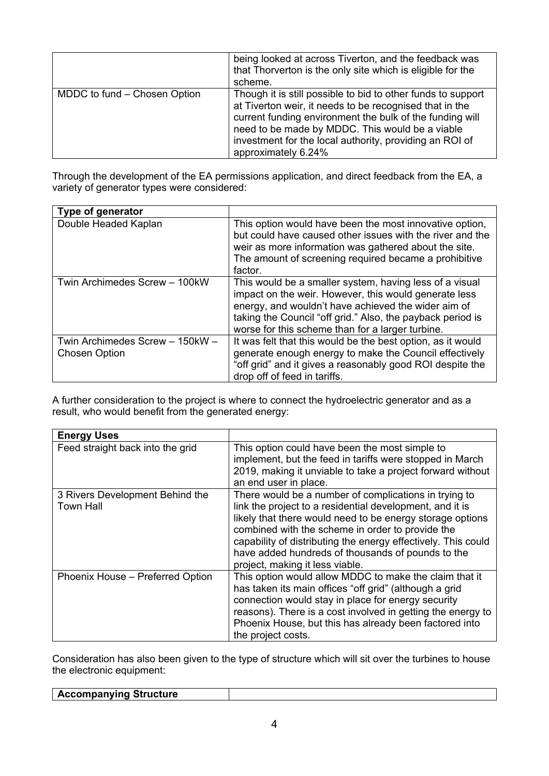|                              | being looked at across Tiverton, and the feedback was<br>that Thorverton is the only site which is eligible for the<br>scheme.                                                                                                                                                                                           |
|------------------------------|--------------------------------------------------------------------------------------------------------------------------------------------------------------------------------------------------------------------------------------------------------------------------------------------------------------------------|
| MDDC to fund – Chosen Option | Though it is still possible to bid to other funds to support<br>at Tiverton weir, it needs to be recognised that in the<br>current funding environment the bulk of the funding will<br>need to be made by MDDC. This would be a viable<br>investment for the local authority, providing an ROI of<br>approximately 6.24% |

Through the development of the EA permissions application, and direct feedback from the EA, a variety of generator types were considered:

| Type of generator                                       |                                                                                                                                                                                                                                                                                           |
|---------------------------------------------------------|-------------------------------------------------------------------------------------------------------------------------------------------------------------------------------------------------------------------------------------------------------------------------------------------|
| Double Headed Kaplan                                    | This option would have been the most innovative option,<br>but could have caused other issues with the river and the<br>weir as more information was gathered about the site.<br>The amount of screening required became a prohibitive<br>factor.                                         |
| Twin Archimedes Screw - 100kW                           | This would be a smaller system, having less of a visual<br>impact on the weir. However, this would generate less<br>energy, and wouldn't have achieved the wider aim of<br>taking the Council "off grid." Also, the payback period is<br>worse for this scheme than for a larger turbine. |
| Twin Archimedes Screw - 150kW -<br><b>Chosen Option</b> | It was felt that this would be the best option, as it would<br>generate enough energy to make the Council effectively<br>"off grid" and it gives a reasonably good ROI despite the<br>drop off of feed in tariffs.                                                                        |

A further consideration to the project is where to connect the hydroelectric generator and as a result, who would benefit from the generated energy:

| <b>Energy Uses</b>                                  |                                                                                                                                                                                                                                                                                                                                                                                             |
|-----------------------------------------------------|---------------------------------------------------------------------------------------------------------------------------------------------------------------------------------------------------------------------------------------------------------------------------------------------------------------------------------------------------------------------------------------------|
| Feed straight back into the grid                    | This option could have been the most simple to<br>implement, but the feed in tariffs were stopped in March<br>2019, making it unviable to take a project forward without<br>an end user in place.                                                                                                                                                                                           |
| 3 Rivers Development Behind the<br><b>Town Hall</b> | There would be a number of complications in trying to<br>link the project to a residential development, and it is<br>likely that there would need to be energy storage options<br>combined with the scheme in order to provide the<br>capability of distributing the energy effectively. This could<br>have added hundreds of thousands of pounds to the<br>project, making it less viable. |
| Phoenix House - Preferred Option                    | This option would allow MDDC to make the claim that it<br>has taken its main offices "off grid" (although a grid<br>connection would stay in place for energy security<br>reasons). There is a cost involved in getting the energy to<br>Phoenix House, but this has already been factored into<br>the project costs.                                                                       |

Consideration has also been given to the type of structure which will sit over the turbines to house the electronic equipment:

| <b>Accompanying Structure</b> |  |
|-------------------------------|--|
|                               |  |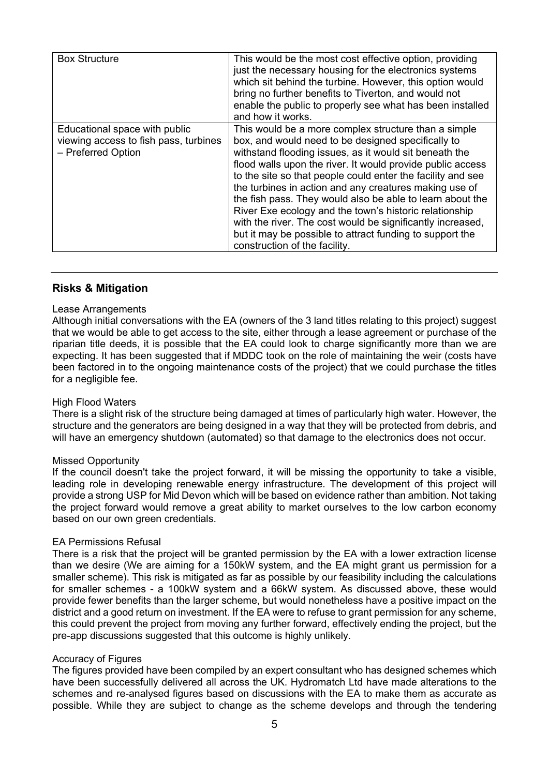| <b>Box Structure</b>                                                                         | This would be the most cost effective option, providing<br>just the necessary housing for the electronics systems<br>which sit behind the turbine. However, this option would<br>bring no further benefits to Tiverton, and would not<br>enable the public to properly see what has been installed<br>and how it works.                                                                                                                                                                                                                                                                                                                       |
|----------------------------------------------------------------------------------------------|-----------------------------------------------------------------------------------------------------------------------------------------------------------------------------------------------------------------------------------------------------------------------------------------------------------------------------------------------------------------------------------------------------------------------------------------------------------------------------------------------------------------------------------------------------------------------------------------------------------------------------------------------|
| Educational space with public<br>viewing access to fish pass, turbines<br>- Preferred Option | This would be a more complex structure than a simple<br>box, and would need to be designed specifically to<br>withstand flooding issues, as it would sit beneath the<br>flood walls upon the river. It would provide public access<br>to the site so that people could enter the facility and see<br>the turbines in action and any creatures making use of<br>the fish pass. They would also be able to learn about the<br>River Exe ecology and the town's historic relationship<br>with the river. The cost would be significantly increased,<br>but it may be possible to attract funding to support the<br>construction of the facility. |

#### **Risks & Mitigation**

#### Lease Arrangements

Although initial conversations with the EA (owners of the 3 land titles relating to this project) suggest that we would be able to get access to the site, either through a lease agreement or purchase of the riparian title deeds, it is possible that the EA could look to charge significantly more than we are expecting. It has been suggested that if MDDC took on the role of maintaining the weir (costs have been factored in to the ongoing maintenance costs of the project) that we could purchase the titles for a negligible fee.

#### High Flood Waters

There is a slight risk of the structure being damaged at times of particularly high water. However, the structure and the generators are being designed in a way that they will be protected from debris, and will have an emergency shutdown (automated) so that damage to the electronics does not occur.

#### Missed Opportunity

If the council doesn't take the project forward, it will be missing the opportunity to take a visible, leading role in developing renewable energy infrastructure. The development of this project will provide a strong USP for Mid Devon which will be based on evidence rather than ambition. Not taking the project forward would remove a great ability to market ourselves to the low carbon economy based on our own green credentials.

#### EA Permissions Refusal

There is a risk that the project will be granted permission by the EA with a lower extraction license than we desire (We are aiming for a 150kW system, and the EA might grant us permission for a smaller scheme). This risk is mitigated as far as possible by our feasibility including the calculations for smaller schemes - a 100kW system and a 66kW system. As discussed above, these would provide fewer benefits than the larger scheme, but would nonetheless have a positive impact on the district and a good return on investment. If the EA were to refuse to grant permission for any scheme, this could prevent the project from moving any further forward, effectively ending the project, but the pre-app discussions suggested that this outcome is highly unlikely.

#### Accuracy of Figures

The figures provided have been compiled by an expert consultant who has designed schemes which have been successfully delivered all across the UK. Hydromatch Ltd have made alterations to the schemes and re-analysed figures based on discussions with the EA to make them as accurate as possible. While they are subject to change as the scheme develops and through the tendering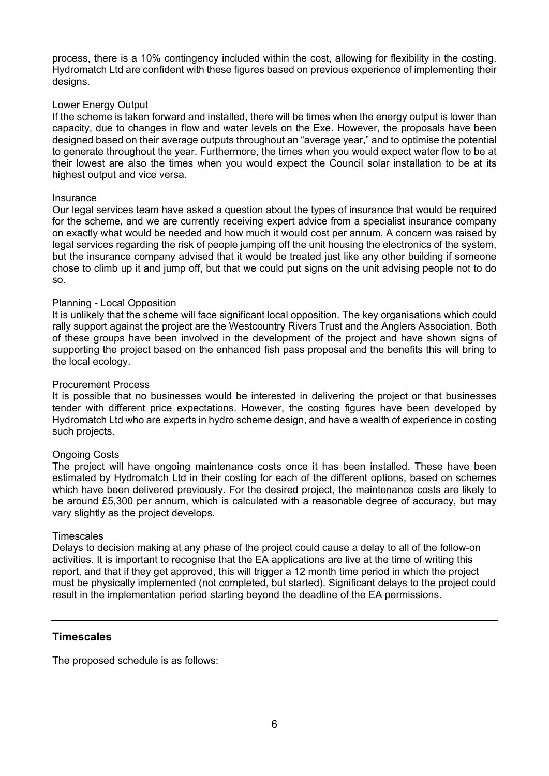process, there is a 10% contingency included within the cost, allowing for flexibility in the costing. Hydromatch Ltd are confident with these figures based on previous experience of implementing their designs.

#### Lower Energy Output

If the scheme is taken forward and installed, there will be times when the energy output is lower than capacity, due to changes in flow and water levels on the Exe. However, the proposals have been designed based on their average outputs throughout an "average year," and to optimise the potential to generate throughout the year. Furthermore, the times when you would expect water flow to be at their lowest are also the times when you would expect the Council solar installation to be at its highest output and vice versa.

#### Insurance

Our legal services team have asked a question about the types of insurance that would be required for the scheme, and we are currently receiving expert advice from a specialist insurance company on exactly what would be needed and how much it would cost per annum. A concern was raised by legal services regarding the risk of people jumping off the unit housing the electronics of the system, but the insurance company advised that it would be treated just like any other building if someone chose to climb up it and jump off, but that we could put signs on the unit advising people not to do so.

#### Planning - Local Opposition

It is unlikely that the scheme will face significant local opposition. The key organisations which could rally support against the project are the Westcountry Rivers Trust and the Anglers Association. Both of these groups have been involved in the development of the project and have shown signs of supporting the project based on the enhanced fish pass proposal and the benefits this will bring to the local ecology.

#### Procurement Process

It is possible that no businesses would be interested in delivering the project or that businesses tender with different price expectations. However, the costing figures have been developed by Hydromatch Ltd who are experts in hydro scheme design, and have a wealth of experience in costing such projects.

#### Ongoing Costs

The project will have ongoing maintenance costs once it has been installed. These have been estimated by Hydromatch Ltd in their costing for each of the different options, based on schemes which have been delivered previously. For the desired project, the maintenance costs are likely to be around £5,300 per annum, which is calculated with a reasonable degree of accuracy, but may vary slightly as the project develops.

#### **Timescales**

Delays to decision making at any phase of the project could cause a delay to all of the follow-on activities. It is important to recognise that the EA applications are live at the time of writing this report, and that if they get approved, this will trigger a 12 month time period in which the project must be physically implemented (not completed, but started). Significant delays to the project could result in the implementation period starting beyond the deadline of the EA permissions.

#### **Timescales**

The proposed schedule is as follows: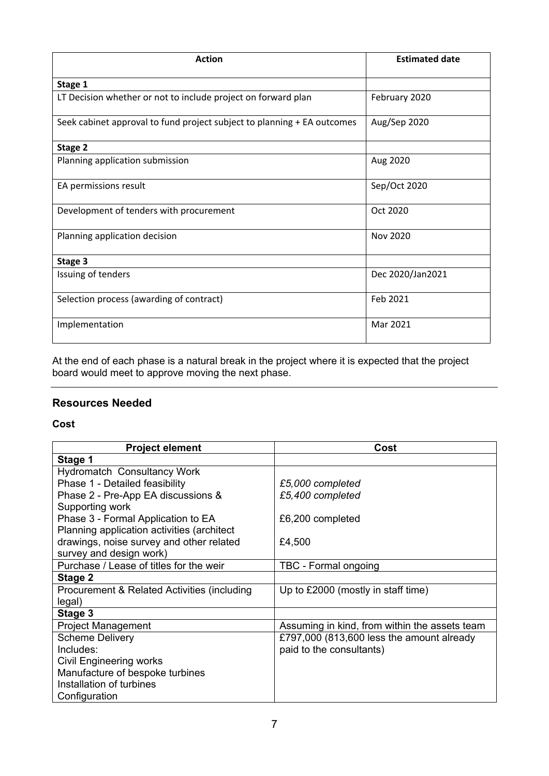| <b>Action</b>                                                           | <b>Estimated date</b> |
|-------------------------------------------------------------------------|-----------------------|
| Stage 1                                                                 |                       |
| LT Decision whether or not to include project on forward plan           | February 2020         |
| Seek cabinet approval to fund project subject to planning + EA outcomes | Aug/Sep 2020          |
| Stage 2                                                                 |                       |
| Planning application submission                                         | Aug 2020              |
| EA permissions result                                                   | Sep/Oct 2020          |
| Development of tenders with procurement                                 | Oct 2020              |
| Planning application decision                                           | Nov 2020              |
| Stage 3                                                                 |                       |
| Issuing of tenders                                                      | Dec 2020/Jan2021      |
| Selection process (awarding of contract)                                | Feb 2021              |
| Implementation                                                          | Mar 2021              |

At the end of each phase is a natural break in the project where it is expected that the project board would meet to approve moving the next phase.

# **Resources Needed**

### **Cost**

| <b>Project element</b>                      | Cost                                          |
|---------------------------------------------|-----------------------------------------------|
| Stage 1                                     |                                               |
| <b>Hydromatch Consultancy Work</b>          |                                               |
| Phase 1 - Detailed feasibility              | £5,000 completed                              |
| Phase 2 - Pre-App EA discussions &          | £5,400 completed                              |
| Supporting work                             |                                               |
| Phase 3 - Formal Application to EA          | £6,200 completed                              |
| Planning application activities (architect  |                                               |
| drawings, noise survey and other related    | £4,500                                        |
| survey and design work)                     |                                               |
| Purchase / Lease of titles for the weir     | TBC - Formal ongoing                          |
| Stage 2                                     |                                               |
| Procurement & Related Activities (including | Up to £2000 (mostly in staff time)            |
| legal)                                      |                                               |
| Stage 3                                     |                                               |
| <b>Project Management</b>                   | Assuming in kind, from within the assets team |
| <b>Scheme Delivery</b>                      | £797,000 (813,600 less the amount already     |
| Includes:                                   | paid to the consultants)                      |
| Civil Engineering works                     |                                               |
| Manufacture of bespoke turbines             |                                               |
| Installation of turbines                    |                                               |
| Configuration                               |                                               |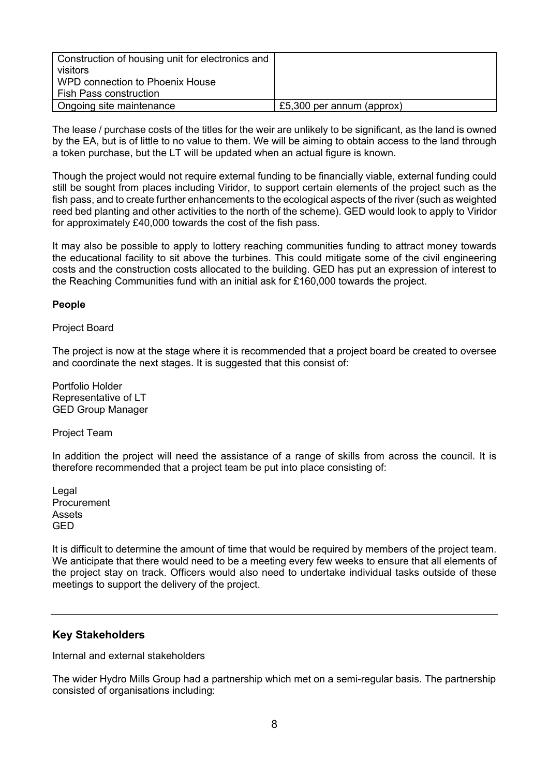| Construction of housing unit for electronics and<br>visitors     |                           |
|------------------------------------------------------------------|---------------------------|
| WPD connection to Phoenix House<br><b>Fish Pass construction</b> |                           |
|                                                                  |                           |
| Ongoing site maintenance                                         | £5,300 per annum (approx) |

The lease / purchase costs of the titles for the weir are unlikely to be significant, as the land is owned by the EA, but is of little to no value to them. We will be aiming to obtain access to the land through a token purchase, but the LT will be updated when an actual figure is known.

Though the project would not require external funding to be financially viable, external funding could still be sought from places including Viridor, to support certain elements of the project such as the fish pass, and to create further enhancements to the ecological aspects of the river (such as weighted reed bed planting and other activities to the north of the scheme). GED would look to apply to Viridor for approximately £40,000 towards the cost of the fish pass.

It may also be possible to apply to lottery reaching communities funding to attract money towards the educational facility to sit above the turbines. This could mitigate some of the civil engineering costs and the construction costs allocated to the building. GED has put an expression of interest to the Reaching Communities fund with an initial ask for £160,000 towards the project.

#### **People**

Project Board

The project is now at the stage where it is recommended that a project board be created to oversee and coordinate the next stages. It is suggested that this consist of:

Portfolio Holder Representative of LT GED Group Manager

Project Team

In addition the project will need the assistance of a range of skills from across the council. It is therefore recommended that a project team be put into place consisting of:

Legal Procurement Assets GED

It is difficult to determine the amount of time that would be required by members of the project team. We anticipate that there would need to be a meeting every few weeks to ensure that all elements of the project stay on track. Officers would also need to undertake individual tasks outside of these meetings to support the delivery of the project.

# **Key Stakeholders**

Internal and external stakeholders

The wider Hydro Mills Group had a partnership which met on a semi-regular basis. The partnership consisted of organisations including: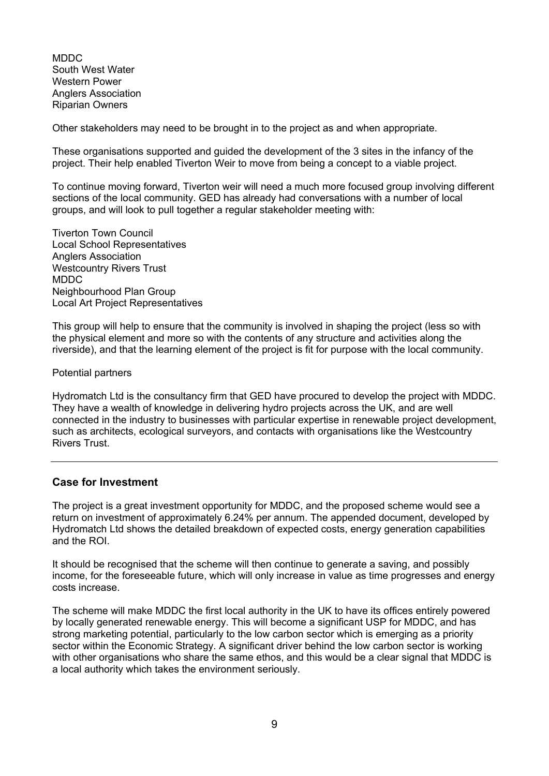MDDC South West Water Western Power Anglers Association Riparian Owners

Other stakeholders may need to be brought in to the project as and when appropriate.

These organisations supported and guided the development of the 3 sites in the infancy of the project. Their help enabled Tiverton Weir to move from being a concept to a viable project.

To continue moving forward, Tiverton weir will need a much more focused group involving different sections of the local community. GED has already had conversations with a number of local groups, and will look to pull together a regular stakeholder meeting with:

Tiverton Town Council Local School Representatives Anglers Association Westcountry Rivers Trust MDDC Neighbourhood Plan Group Local Art Project Representatives

This group will help to ensure that the community is involved in shaping the project (less so with the physical element and more so with the contents of any structure and activities along the riverside), and that the learning element of the project is fit for purpose with the local community.

#### Potential partners

Hydromatch Ltd is the consultancy firm that GED have procured to develop the project with MDDC. They have a wealth of knowledge in delivering hydro projects across the UK, and are well connected in the industry to businesses with particular expertise in renewable project development, such as architects, ecological surveyors, and contacts with organisations like the Westcountry Rivers Trust.

#### **Case for Investment**

The project is a great investment opportunity for MDDC, and the proposed scheme would see a return on investment of approximately 6.24% per annum. The appended document, developed by Hydromatch Ltd shows the detailed breakdown of expected costs, energy generation capabilities and the ROI.

It should be recognised that the scheme will then continue to generate a saving, and possibly income, for the foreseeable future, which will only increase in value as time progresses and energy costs increase.

The scheme will make MDDC the first local authority in the UK to have its offices entirely powered by locally generated renewable energy. This will become a significant USP for MDDC, and has strong marketing potential, particularly to the low carbon sector which is emerging as a priority sector within the Economic Strategy. A significant driver behind the low carbon sector is working with other organisations who share the same ethos, and this would be a clear signal that MDDC is a local authority which takes the environment seriously.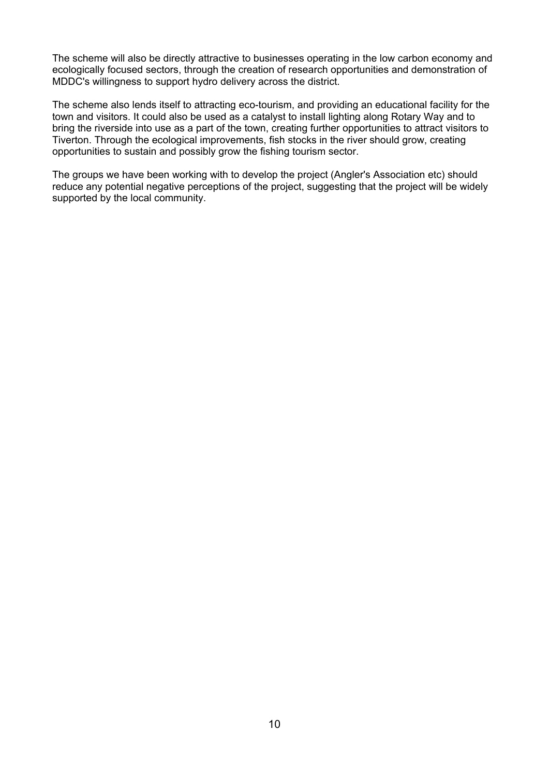The scheme will also be directly attractive to businesses operating in the low carbon economy and ecologically focused sectors, through the creation of research opportunities and demonstration of MDDC's willingness to support hydro delivery across the district.

The scheme also lends itself to attracting eco-tourism, and providing an educational facility for the town and visitors. It could also be used as a catalyst to install lighting along Rotary Way and to bring the riverside into use as a part of the town, creating further opportunities to attract visitors to Tiverton. Through the ecological improvements, fish stocks in the river should grow, creating opportunities to sustain and possibly grow the fishing tourism sector.

The groups we have been working with to develop the project (Angler's Association etc) should reduce any potential negative perceptions of the project, suggesting that the project will be widely supported by the local community.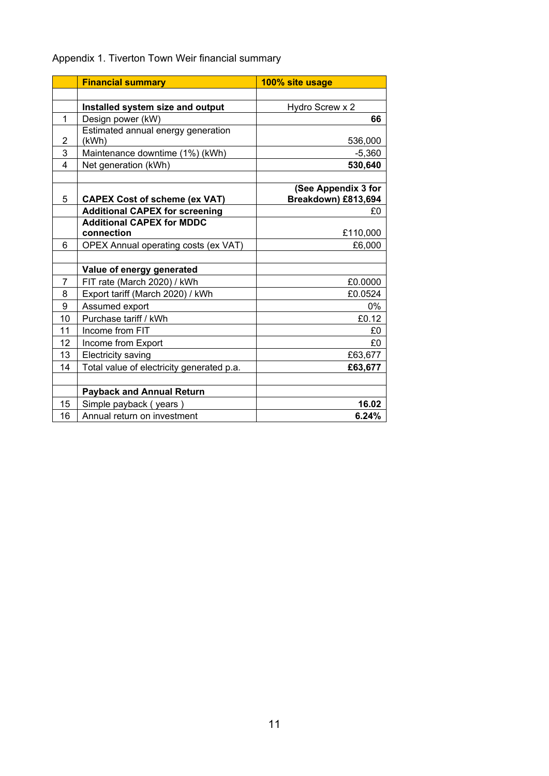# Appendix 1. Tiverton Town Weir financial summary

|                | <b>Financial summary</b>                       | 100% site usage     |
|----------------|------------------------------------------------|---------------------|
|                |                                                |                     |
|                | Installed system size and output               | Hydro Screw x 2     |
| 1              | Design power (kW)                              | 66                  |
|                | Estimated annual energy generation             |                     |
| $\overline{2}$ | (kWh)                                          | 536,000             |
| 3              | Maintenance downtime (1%) (kWh)                | $-5,360$            |
| 4              | Net generation (kWh)                           | 530,640             |
|                |                                                |                     |
|                |                                                | (See Appendix 3 for |
| 5              | <b>CAPEX Cost of scheme (ex VAT)</b>           | Breakdown) £813,694 |
|                | <b>Additional CAPEX for screening</b>          | £0                  |
|                | <b>Additional CAPEX for MDDC</b><br>connection | £110,000            |
| 6              | OPEX Annual operating costs (ex VAT)           | £6,000              |
|                |                                                |                     |
|                | Value of energy generated                      |                     |
| $\overline{7}$ | FIT rate (March 2020) / kWh                    | £0.0000             |
| 8              | Export tariff (March 2020) / kWh               | £0.0524             |
| 9              | Assumed export                                 | 0%                  |
| 10             | Purchase tariff / kWh                          | £0.12               |
| 11             | Income from FIT                                |                     |
| 12             |                                                | £0                  |
|                | Income from Export                             | £0                  |
| 13             | Electricity saving                             | £63,677             |
| 14             | Total value of electricity generated p.a.      | £63,677             |
|                |                                                |                     |
|                | <b>Payback and Annual Return</b>               |                     |
| 15             | Simple payback (years)                         | 16.02               |
| 16             | Annual return on investment                    | 6.24%               |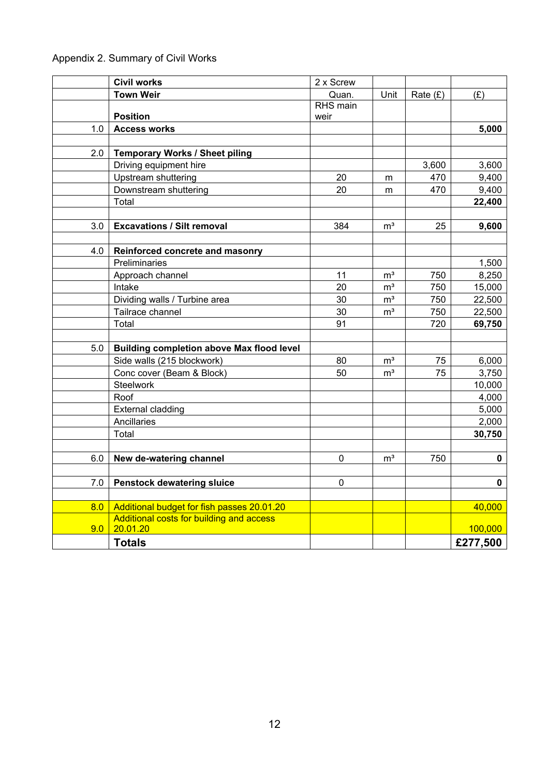# Appendix 2. Summary of Civil Works

|     | <b>Civil works</b>                               | 2 x Screw |                           |            |          |
|-----|--------------------------------------------------|-----------|---------------------------|------------|----------|
|     | <b>Town Weir</b>                                 | Quan.     | Unit                      | Rate $(E)$ | (E)      |
|     |                                                  | RHS main  |                           |            |          |
|     | <b>Position</b>                                  | weir      |                           |            |          |
| 1.0 | <b>Access works</b>                              |           |                           |            | 5,000    |
|     |                                                  |           |                           |            |          |
| 2.0 | Temporary Works / Sheet piling                   |           |                           |            |          |
|     | Driving equipment hire                           |           |                           | 3,600      | 3,600    |
|     | Upstream shuttering                              | 20        | m                         | 470        | 9,400    |
|     | Downstream shuttering                            | 20        | m                         | 470        | 9,400    |
|     | Total                                            |           |                           |            | 22,400   |
|     |                                                  |           |                           |            |          |
| 3.0 | <b>Excavations / Silt removal</b>                | 384       | $\mathsf{m}^{\mathsf{3}}$ | 25         | 9,600    |
|     |                                                  |           |                           |            |          |
| 4.0 | Reinforced concrete and masonry                  |           |                           |            |          |
|     | Preliminaries                                    |           |                           |            | 1,500    |
|     | Approach channel                                 | 11        | m <sup>3</sup>            | 750        | 8,250    |
|     | Intake                                           | 20        | m <sup>3</sup>            | 750        | 15,000   |
|     | Dividing walls / Turbine area                    | 30        | m <sup>3</sup>            | 750        | 22,500   |
|     | Tailrace channel                                 | 30        | m <sup>3</sup>            | 750        | 22,500   |
|     | Total                                            | 91        |                           | 720        | 69,750   |
|     |                                                  |           |                           |            |          |
| 5.0 | <b>Building completion above Max flood level</b> |           |                           |            |          |
|     | Side walls (215 blockwork)                       | 80        | m <sup>3</sup>            | 75         | 6,000    |
|     | Conc cover (Beam & Block)                        | 50        | m <sup>3</sup>            | 75         | 3,750    |
|     | <b>Steelwork</b>                                 |           |                           |            | 10,000   |
|     | Roof                                             |           |                           |            | 4,000    |
|     | <b>External cladding</b>                         |           |                           |            | 5,000    |
|     | Ancillaries                                      |           |                           |            | 2,000    |
|     | Total                                            |           |                           |            | 30,750   |
|     |                                                  |           |                           |            |          |
| 6.0 | New de-watering channel                          | 0         | m <sup>3</sup>            | 750        | 0        |
|     |                                                  |           |                           |            |          |
| 7.0 | <b>Penstock dewatering sluice</b>                | 0         |                           |            | 0        |
|     |                                                  |           |                           |            |          |
| 8.0 | Additional budget for fish passes 20.01.20       |           |                           |            | 40,000   |
|     | Additional costs for building and access         |           |                           |            |          |
| 9.0 | 20.01.20                                         |           |                           |            | 100,000  |
|     | <b>Totals</b>                                    |           |                           |            | £277,500 |